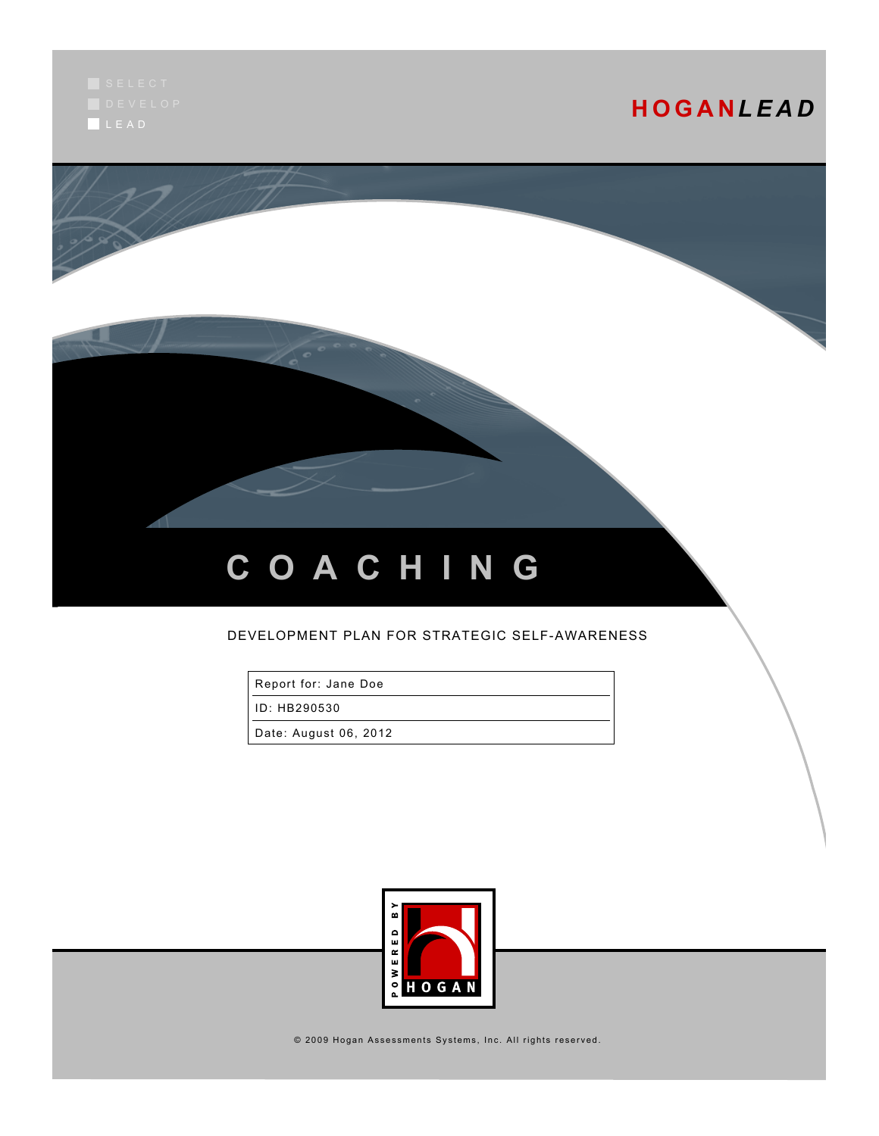L E A D

# **H O G A N***L E A D*



# **C O A C H I N G**

### DEVELOPMENT PLAN FOR STRATEGIC SELF-AWARENESS

Report for: Jane Doe

ID: HB290530

Date: August 06, 2012



 $@$  2009 Hogan Assessments Systems, Inc. All rights reserved.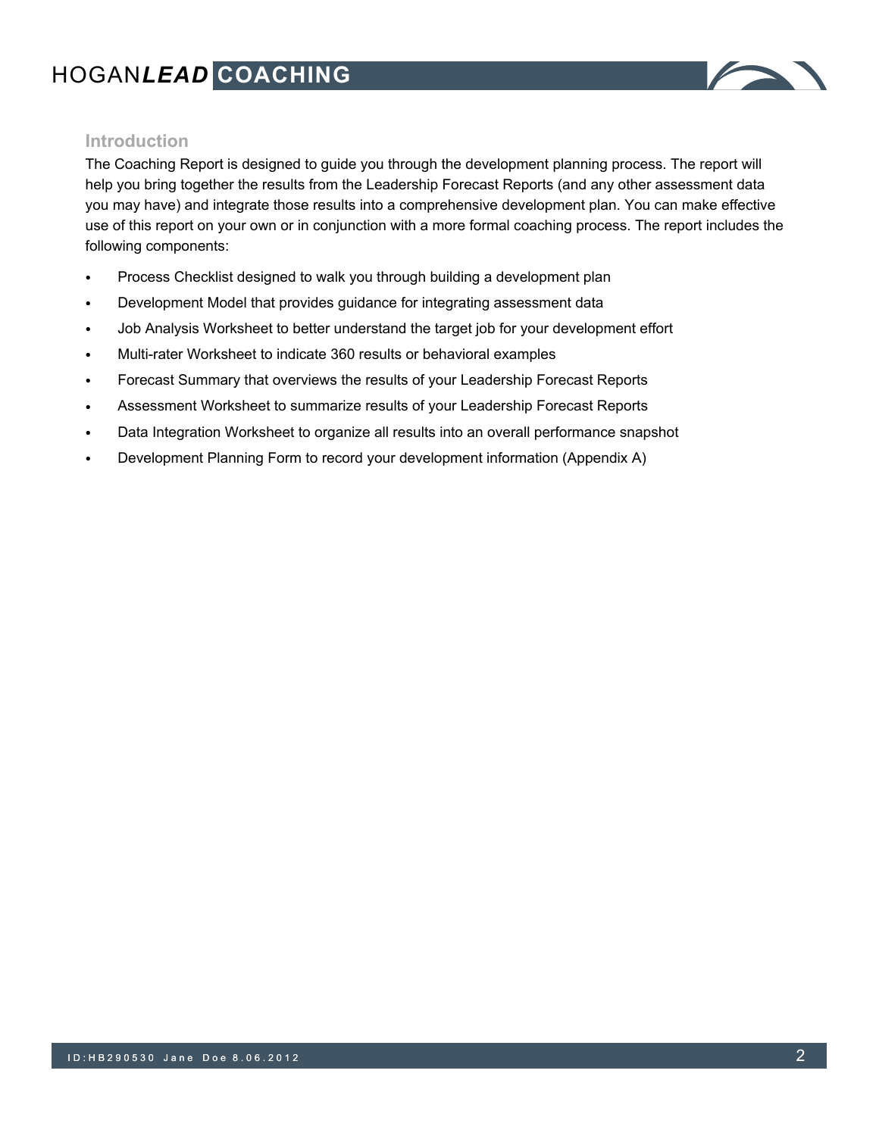

# **Introduction**

The Coaching Report is designed to guide you through the development planning process. The report will help you bring together the results from the Leadership Forecast Reports (and any other assessment data you may have) and integrate those results into a comprehensive development plan. You can make effective use of this report on your own or in conjunction with a more formal coaching process. The report includes the following components:

- Process Checklist designed to walk you through building a development plan
- Development Model that provides guidance for integrating assessment data
- Job Analysis Worksheet to better understand the target job for your development effort
- Multi-rater Worksheet to indicate 360 results or behavioral examples
- Forecast Summary that overviews the results of your Leadership Forecast Reports
- Assessment Worksheet to summarize results of your Leadership Forecast Reports
- Data Integration Worksheet to organize all results into an overall performance snapshot
- Development Planning Form to record your development information (Appendix A)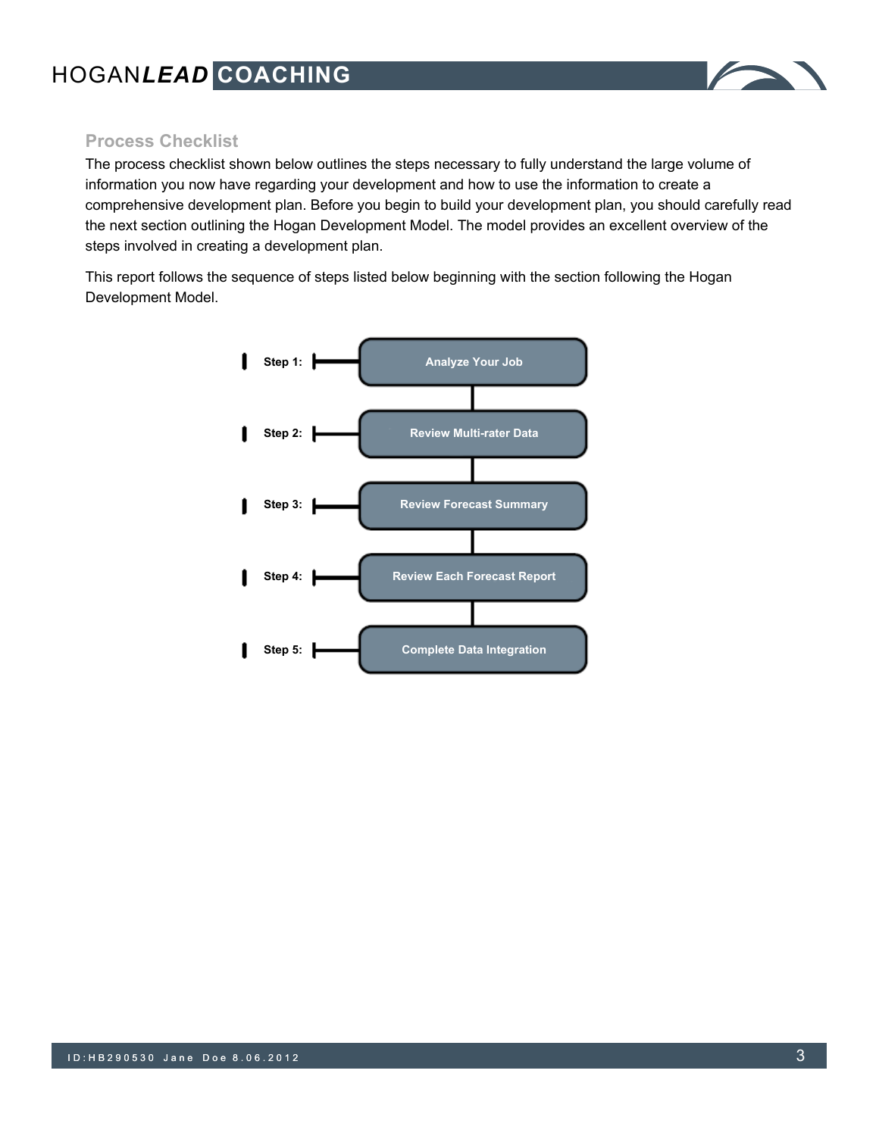

# **Process Checklist**

The process checklist shown below outlines the steps necessary to fully understand the large volume of information you now have regarding your development and how to use the information to create a comprehensive development plan. Before you begin to build your development plan, you should carefully read the next section outlining the Hogan Development Model. The model provides an excellent overview of the steps involved in creating a development plan.

This report follows the sequence of steps listed below beginning with the section following the Hogan Development Model.

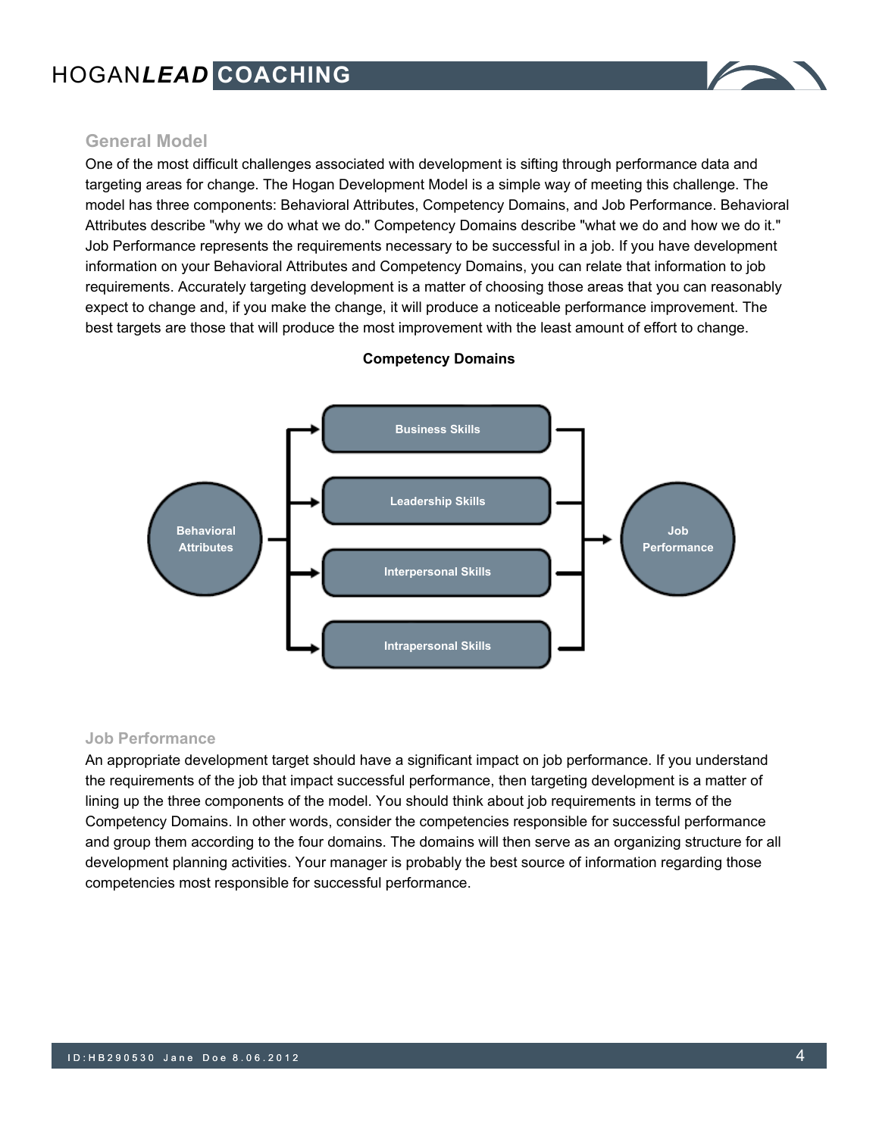

## **General Model**

One of the most difficult challenges associated with development is sifting through performance data and targeting areas for change. The Hogan Development Model is a simple way of meeting this challenge. The model has three components: Behavioral Attributes, Competency Domains, and Job Performance. Behavioral Attributes describe "why we do what we do." Competency Domains describe "what we do and how we do it." Job Performance represents the requirements necessary to be successful in a job. If you have development information on your Behavioral Attributes and Competency Domains, you can relate that information to job requirements. Accurately targeting development is a matter of choosing those areas that you can reasonably expect to change and, if you make the change, it will produce a noticeable performance improvement. The best targets are those that will produce the most improvement with the least amount of effort to change.



#### **Competency Domains**

#### **Job Performance**

An appropriate development target should have a significant impact on job performance. If you understand the requirements of the job that impact successful performance, then targeting development is a matter of lining up the three components of the model. You should think about job requirements in terms of the Competency Domains. In other words, consider the competencies responsible for successful performance and group them according to the four domains. The domains will then serve as an organizing structure for all development planning activities. Your manager is probably the best source of information regarding those competencies most responsible for successful performance.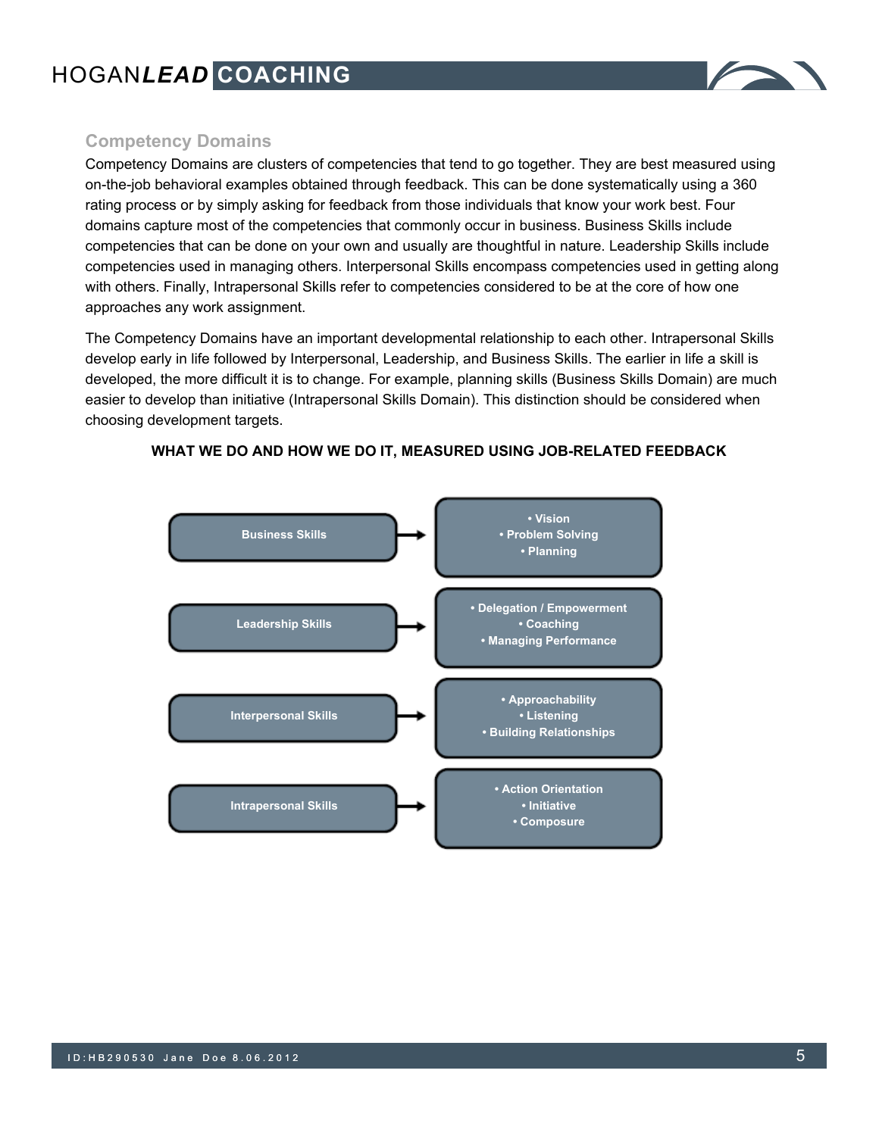

## **Competency Domains**

Competency Domains are clusters of competencies that tend to go together. They are best measured using on-the-job behavioral examples obtained through feedback. This can be done systematically using a 360 rating process or by simply asking for feedback from those individuals that know your work best. Four domains capture most of the competencies that commonly occur in business. Business Skills include competencies that can be done on your own and usually are thoughtful in nature. Leadership Skills include competencies used in managing others. Interpersonal Skills encompass competencies used in getting along with others. Finally, Intrapersonal Skills refer to competencies considered to be at the core of how one approaches any work assignment.

The Competency Domains have an important developmental relationship to each other. Intrapersonal Skills develop early in life followed by Interpersonal, Leadership, and Business Skills. The earlier in life a skill is developed, the more difficult it is to change. For example, planning skills (Business Skills Domain) are much easier to develop than initiative (Intrapersonal Skills Domain). This distinction should be considered when choosing development targets.



#### **WHAT WE DO AND HOW WE DO IT, MEASURED USING JOB-RELATED FEEDBACK**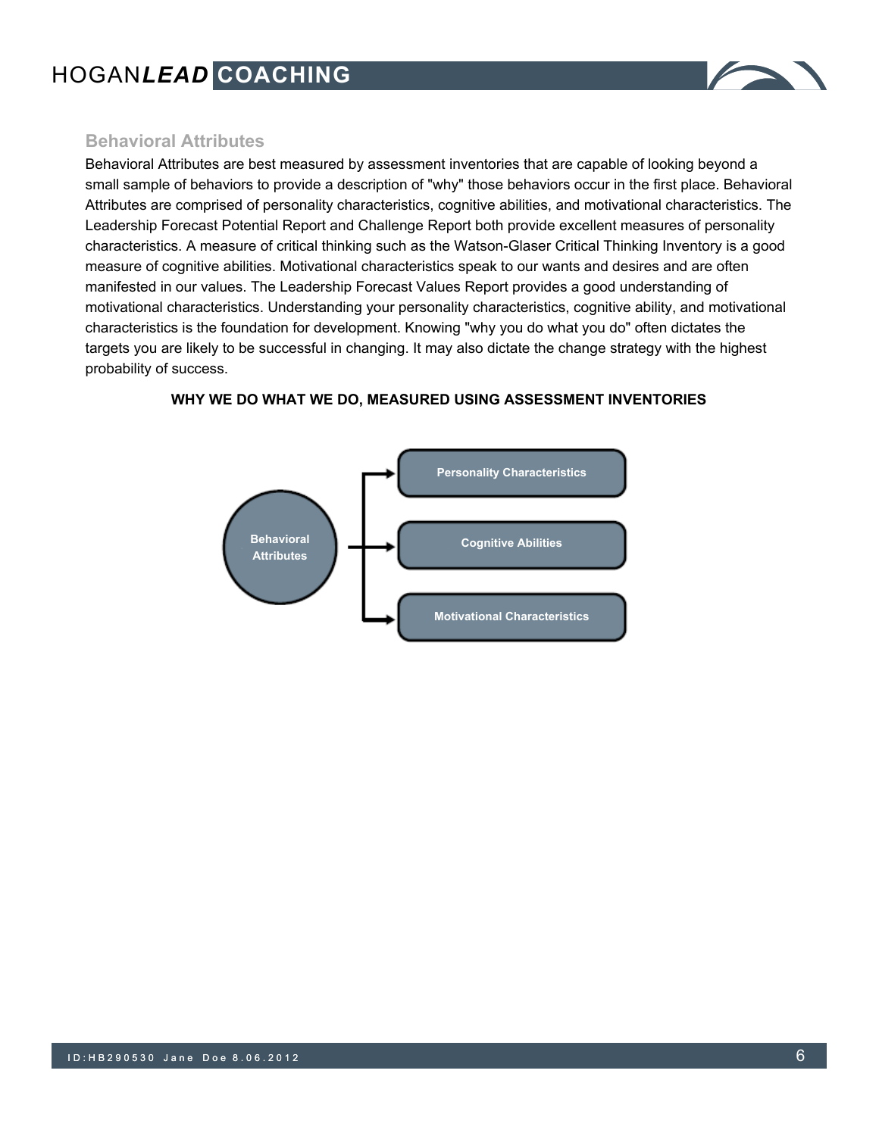

## **Behavioral Attributes**

Behavioral Attributes are best measured by assessment inventories that are capable of looking beyond a small sample of behaviors to provide a description of "why" those behaviors occur in the first place. Behavioral Attributes are comprised of personality characteristics, cognitive abilities, and motivational characteristics. The Leadership Forecast Potential Report and Challenge Report both provide excellent measures of personality characteristics. A measure of critical thinking such as the Watson-Glaser Critical Thinking Inventory is a good measure of cognitive abilities. Motivational characteristics speak to our wants and desires and are often manifested in our values. The Leadership Forecast Values Report provides a good understanding of motivational characteristics. Understanding your personality characteristics, cognitive ability, and motivational characteristics is the foundation for development. Knowing "why you do what you do" often dictates the targets you are likely to be successful in changing. It may also dictate the change strategy with the highest probability of success.



#### **WHY WE DO WHAT WE DO, MEASURED USING ASSESSMENT INVENTORIES**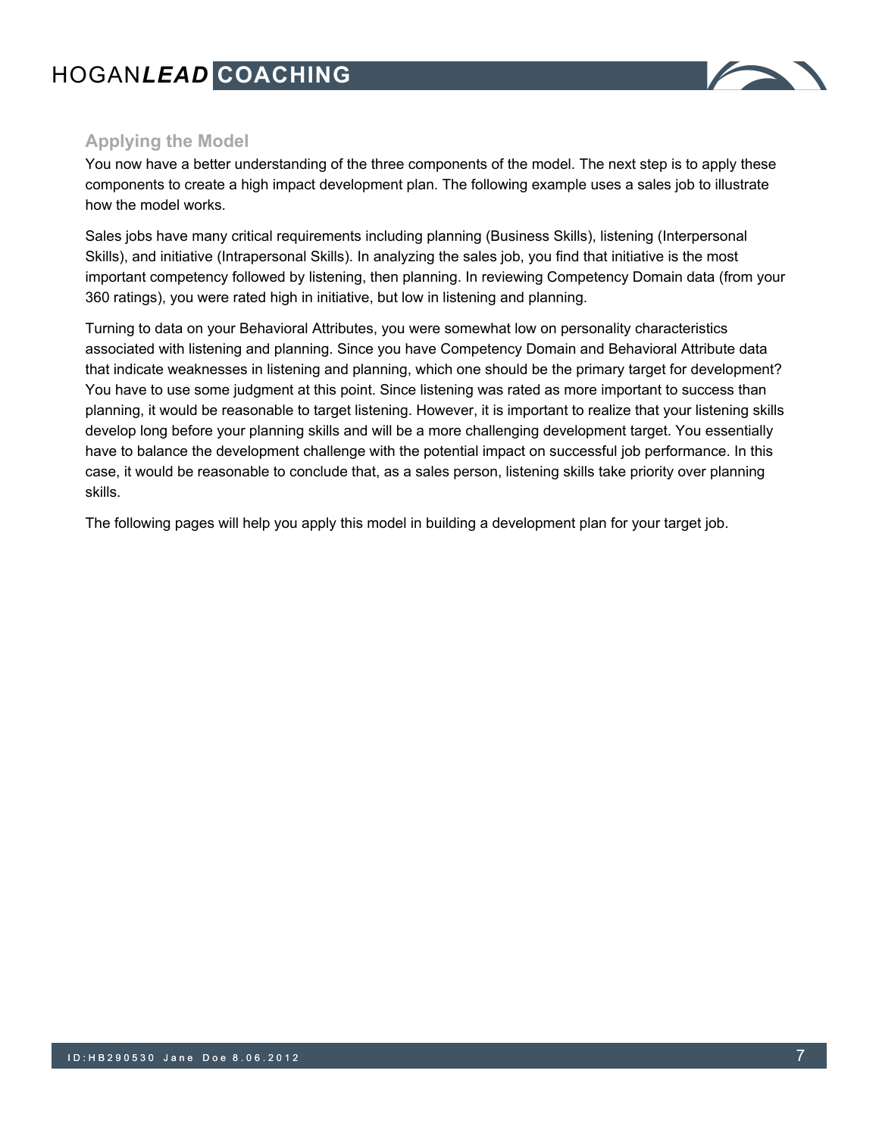

# **Applying the Model**

You now have a better understanding of the three components of the model. The next step is to apply these components to create a high impact development plan. The following example uses a sales job to illustrate how the model works.

Sales jobs have many critical requirements including planning (Business Skills), listening (Interpersonal Skills), and initiative (Intrapersonal Skills). In analyzing the sales job, you find that initiative is the most important competency followed by listening, then planning. In reviewing Competency Domain data (from your 360 ratings), you were rated high in initiative, but low in listening and planning.

Turning to data on your Behavioral Attributes, you were somewhat low on personality characteristics associated with listening and planning. Since you have Competency Domain and Behavioral Attribute data that indicate weaknesses in listening and planning, which one should be the primary target for development? You have to use some judgment at this point. Since listening was rated as more important to success than planning, it would be reasonable to target listening. However, it is important to realize that your listening skills develop long before your planning skills and will be a more challenging development target. You essentially have to balance the development challenge with the potential impact on successful job performance. In this case, it would be reasonable to conclude that, as a sales person, listening skills take priority over planning skills.

The following pages will help you apply this model in building a development plan for your target job.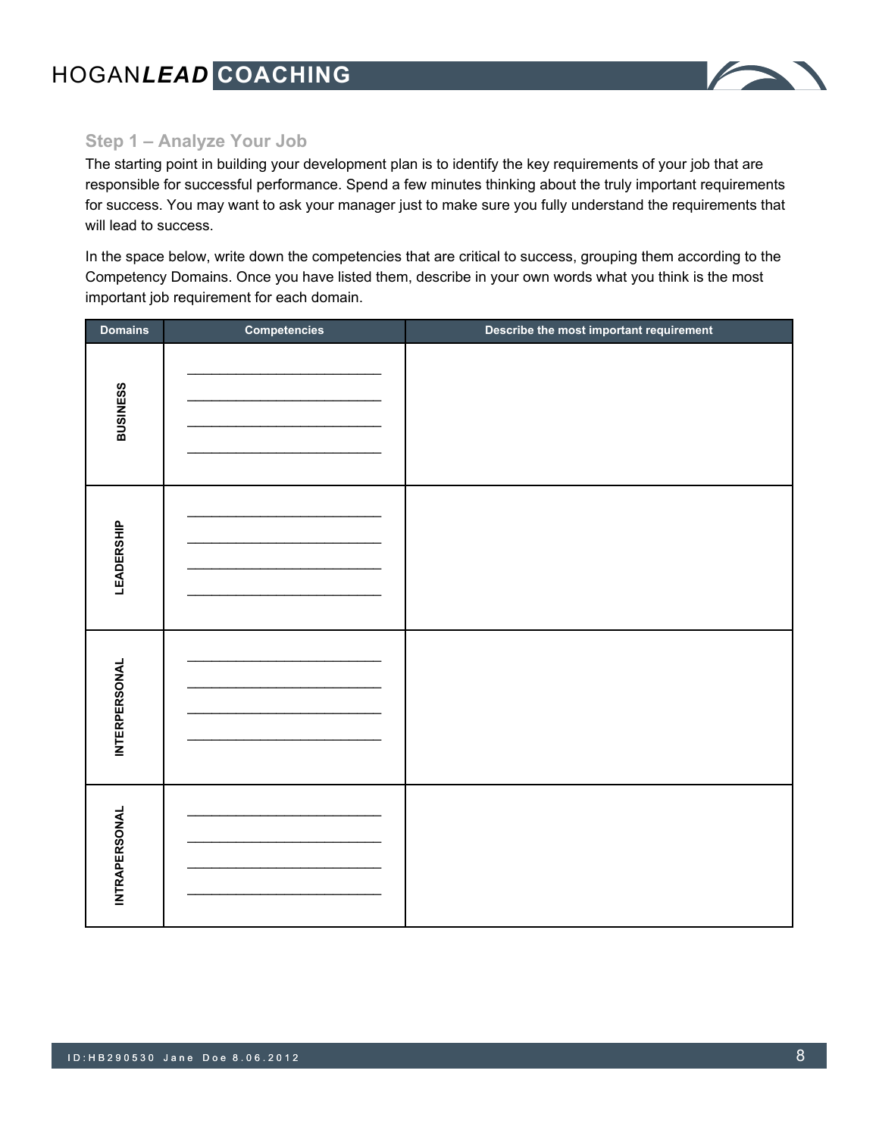

# **Step 1 – Analyze Your Job**

The starting point in building your development plan is to identify the key requirements of your job that are responsible for successful performance. Spend a few minutes thinking about the truly important requirements for success. You may want to ask your manager just to make sure you fully understand the requirements that will lead to success.

In the space below, write down the competencies that are critical to success, grouping them according to the Competency Domains. Once you have listed them, describe in your own words what you think is the most important job requirement for each domain.

| <b>Domains</b>       | <b>Competencies</b> | Describe the most important requirement |
|----------------------|---------------------|-----------------------------------------|
| <b>BUSINESS</b>      |                     |                                         |
| LEADERSHIP           |                     |                                         |
| <b>INTERPERSONAL</b> |                     |                                         |
| <b>INTRAPERSONAL</b> |                     |                                         |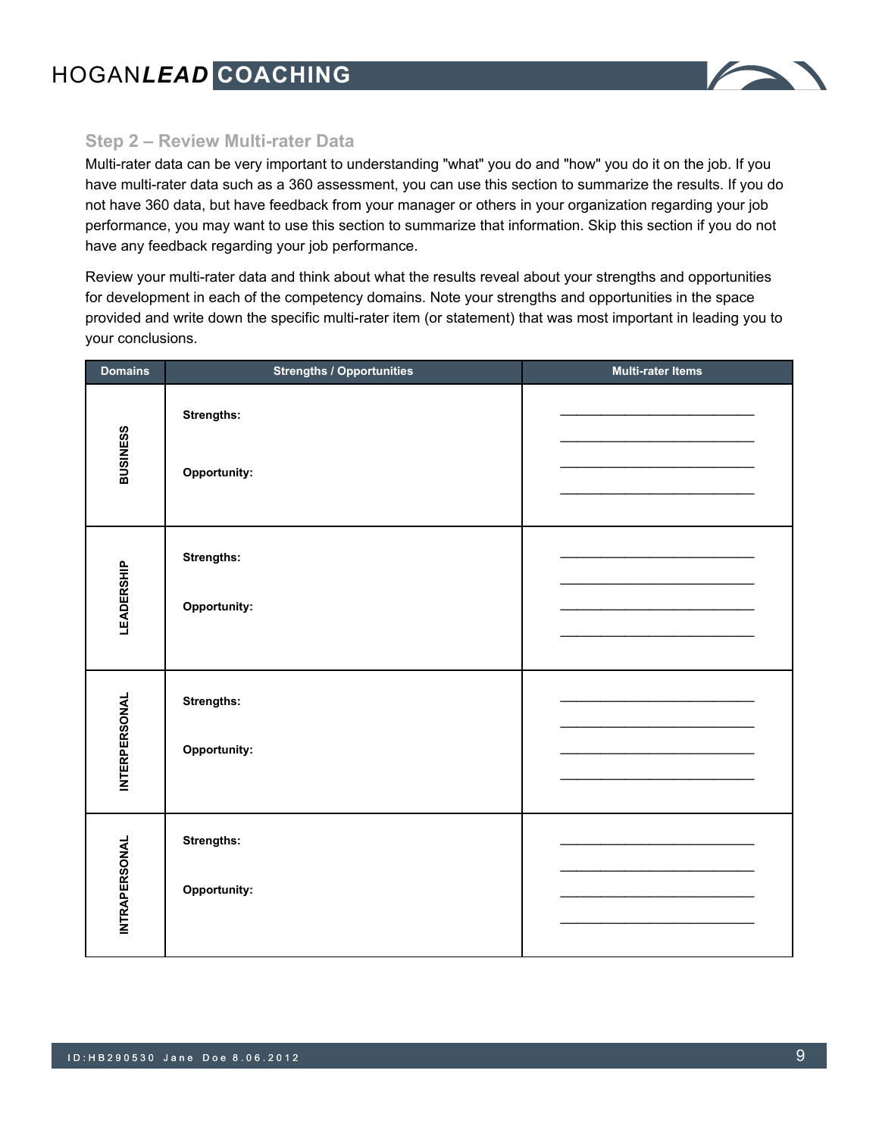

## **Step 2 – Review Multi-rater Data**

Multi-rater data can be very important to understanding "what" you do and "how" you do it on the job. If you have multi-rater data such as a 360 assessment, you can use this section to summarize the results. If you do not have 360 data, but have feedback from your manager or others in your organization regarding your job performance, you may want to use this section to summarize that information. Skip this section if you do not have any feedback regarding your job performance.

Review your multi-rater data and think about what the results reveal about your strengths and opportunities for development in each of the competency domains. Note your strengths and opportunities in the space provided and write down the specific multi-rater item (or statement) that was most important in leading you to your conclusions.

| <b>Domains</b>       | <b>Strengths / Opportunities</b> | <b>Multi-rater Items</b> |
|----------------------|----------------------------------|--------------------------|
| <b>BUSINESS</b>      | Strengths:<br>Opportunity:       |                          |
| <b>LEADERSHIP</b>    | Strengths:<br>Opportunity:       |                          |
| <b>INTERPERSONAL</b> | Strengths:<br>Opportunity:       |                          |
| <b>INTRAPERSONAL</b> | Strengths:<br>Opportunity:       |                          |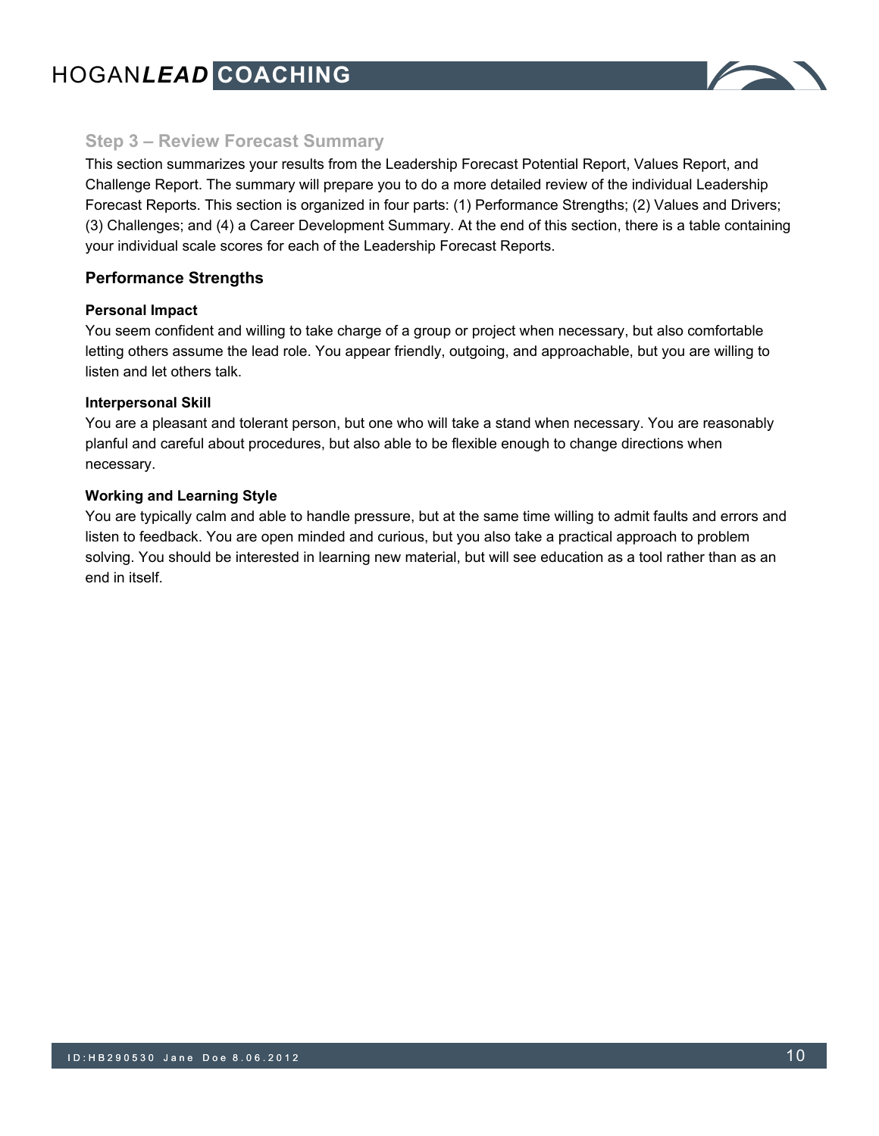

### **Step 3 – Review Forecast Summary**

This section summarizes your results from the Leadership Forecast Potential Report, Values Report, and Challenge Report. The summary will prepare you to do a more detailed review of the individual Leadership Forecast Reports. This section is organized in four parts: (1) Performance Strengths; (2) Values and Drivers; (3) Challenges; and (4) a Career Development Summary. At the end of this section, there is a table containing your individual scale scores for each of the Leadership Forecast Reports.

#### **Performance Strengths**

#### **Personal Impact**

You seem confident and willing to take charge of a group or project when necessary, but also comfortable letting others assume the lead role. You appear friendly, outgoing, and approachable, but you are willing to listen and let others talk.

#### **Interpersonal Skill**

You are a pleasant and tolerant person, but one who will take a stand when necessary. You are reasonably planful and careful about procedures, but also able to be flexible enough to change directions when necessary.

#### **Working and Learning Style**

You are typically calm and able to handle pressure, but at the same time willing to admit faults and errors and listen to feedback. You are open minded and curious, but you also take a practical approach to problem solving. You should be interested in learning new material, but will see education as a tool rather than as an end in itself.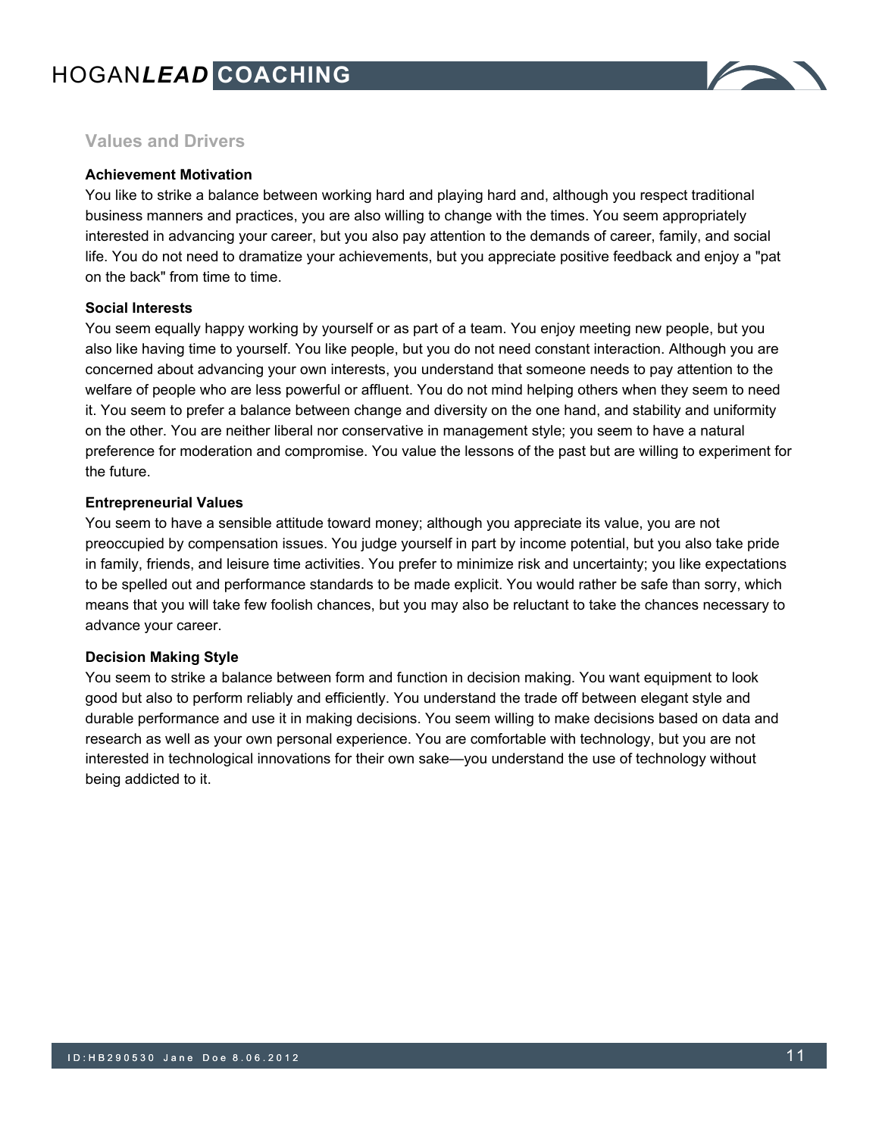

# **Values and Drivers**

#### **Achievement Motivation**

You like to strike a balance between working hard and playing hard and, although you respect traditional business manners and practices, you are also willing to change with the times. You seem appropriately interested in advancing your career, but you also pay attention to the demands of career, family, and social life. You do not need to dramatize your achievements, but you appreciate positive feedback and enjoy a "pat on the back" from time to time.

#### **Social Interests**

You seem equally happy working by yourself or as part of a team. You enjoy meeting new people, but you also like having time to yourself. You like people, but you do not need constant interaction. Although you are concerned about advancing your own interests, you understand that someone needs to pay attention to the welfare of people who are less powerful or affluent. You do not mind helping others when they seem to need it. You seem to prefer a balance between change and diversity on the one hand, and stability and uniformity on the other. You are neither liberal nor conservative in management style; you seem to have a natural preference for moderation and compromise. You value the lessons of the past but are willing to experiment for the future.

#### **Entrepreneurial Values**

You seem to have a sensible attitude toward money; although you appreciate its value, you are not preoccupied by compensation issues. You judge yourself in part by income potential, but you also take pride in family, friends, and leisure time activities. You prefer to minimize risk and uncertainty; you like expectations to be spelled out and performance standards to be made explicit. You would rather be safe than sorry, which means that you will take few foolish chances, but you may also be reluctant to take the chances necessary to advance your career.

#### **Decision Making Style**

You seem to strike a balance between form and function in decision making. You want equipment to look good but also to perform reliably and efficiently. You understand the trade off between elegant style and durable performance and use it in making decisions. You seem willing to make decisions based on data and research as well as your own personal experience. You are comfortable with technology, but you are not interested in technological innovations for their own sake—you understand the use of technology without being addicted to it.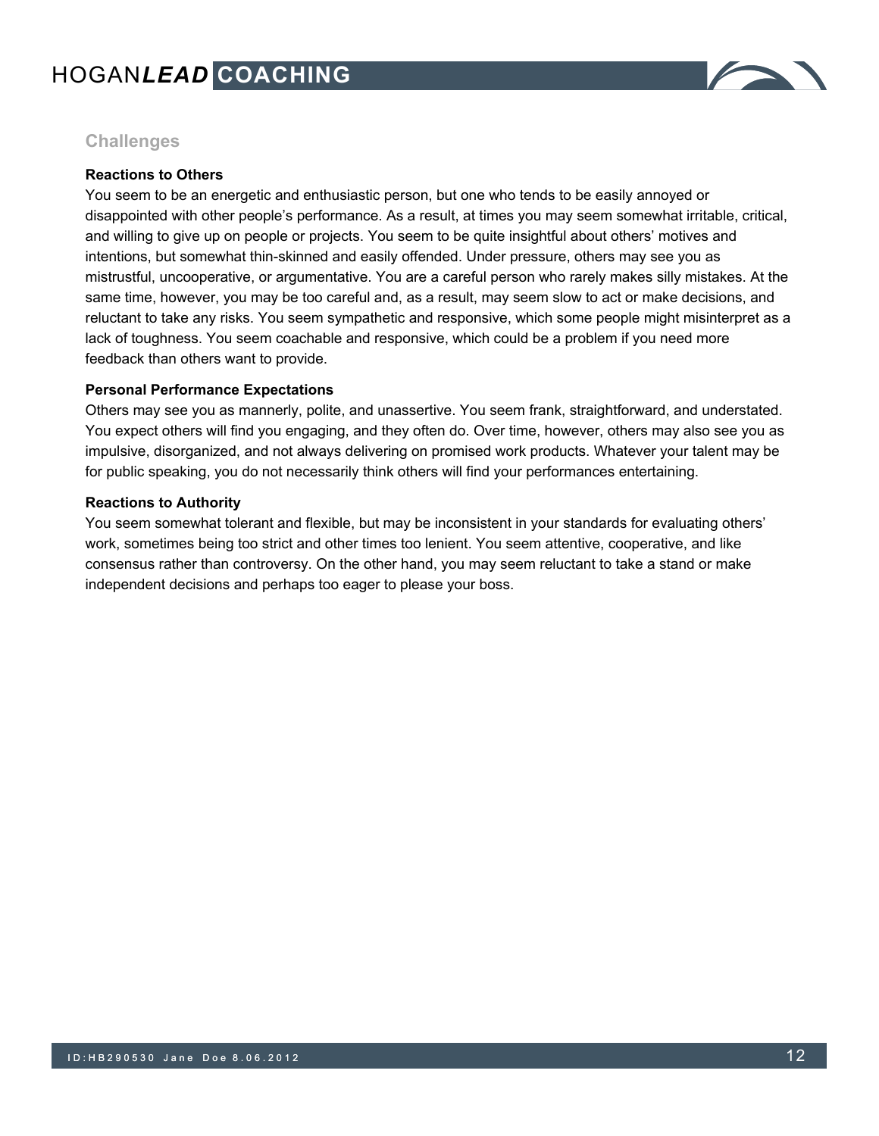

# **Challenges**

#### **Reactions to Others**

You seem to be an energetic and enthusiastic person, but one who tends to be easily annoyed or disappointed with other people's performance. As a result, at times you may seem somewhat irritable, critical, and willing to give up on people or projects. You seem to be quite insightful about others' motives and intentions, but somewhat thin-skinned and easily offended. Under pressure, others may see you as mistrustful, uncooperative, or argumentative. You are a careful person who rarely makes silly mistakes. At the same time, however, you may be too careful and, as a result, may seem slow to act or make decisions, and reluctant to take any risks. You seem sympathetic and responsive, which some people might misinterpret as a lack of toughness. You seem coachable and responsive, which could be a problem if you need more feedback than others want to provide.

#### **Personal Performance Expectations**

Others may see you as mannerly, polite, and unassertive. You seem frank, straightforward, and understated. You expect others will find you engaging, and they often do. Over time, however, others may also see you as impulsive, disorganized, and not always delivering on promised work products. Whatever your talent may be for public speaking, you do not necessarily think others will find your performances entertaining.

#### **Reactions to Authority**

You seem somewhat tolerant and flexible, but may be inconsistent in your standards for evaluating others' work, sometimes being too strict and other times too lenient. You seem attentive, cooperative, and like consensus rather than controversy. On the other hand, you may seem reluctant to take a stand or make independent decisions and perhaps too eager to please your boss.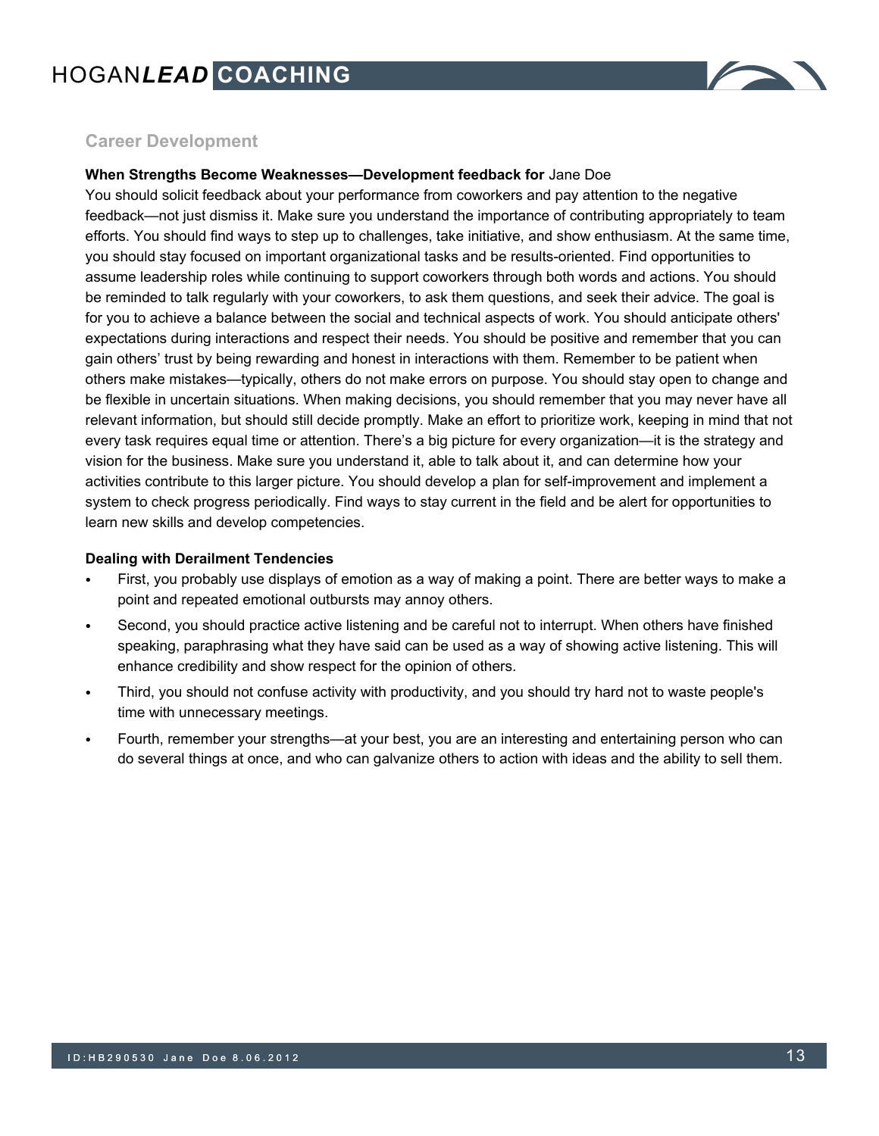

# **Career Development**

#### **When Strengths Become Weaknesses—Development feedback for** Jane Doe

You should solicit feedback about your performance from coworkers and pay attention to the negative feedback—not just dismiss it. Make sure you understand the importance of contributing appropriately to team efforts. You should find ways to step up to challenges, take initiative, and show enthusiasm. At the same time, you should stay focused on important organizational tasks and be results-oriented. Find opportunities to assume leadership roles while continuing to support coworkers through both words and actions. You should be reminded to talk regularly with your coworkers, to ask them questions, and seek their advice. The goal is for you to achieve a balance between the social and technical aspects of work. You should anticipate others' expectations during interactions and respect their needs. You should be positive and remember that you can gain others' trust by being rewarding and honest in interactions with them. Remember to be patient when others make mistakes—typically, others do not make errors on purpose. You should stay open to change and be flexible in uncertain situations. When making decisions, you should remember that you may never have all relevant information, but should still decide promptly. Make an effort to prioritize work, keeping in mind that not every task requires equal time or attention. There's a big picture for every organization—it is the strategy and vision for the business. Make sure you understand it, able to talk about it, and can determine how your activities contribute to this larger picture. You should develop a plan for self-improvement and implement a system to check progress periodically. Find ways to stay current in the field and be alert for opportunities to learn new skills and develop competencies.

#### **Dealing with Derailment Tendencies**

- First, you probably use displays of emotion as a way of making a point. There are better ways to make a point and repeated emotional outbursts may annoy others.
- Second, you should practice active listening and be careful not to interrupt. When others have finished speaking, paraphrasing what they have said can be used as a way of showing active listening. This will enhance credibility and show respect for the opinion of others.
- Third, you should not confuse activity with productivity, and you should try hard not to waste people's time with unnecessary meetings.
- Fourth, remember your strengths—at your best, you are an interesting and entertaining person who can do several things at once, and who can galvanize others to action with ideas and the ability to sell them.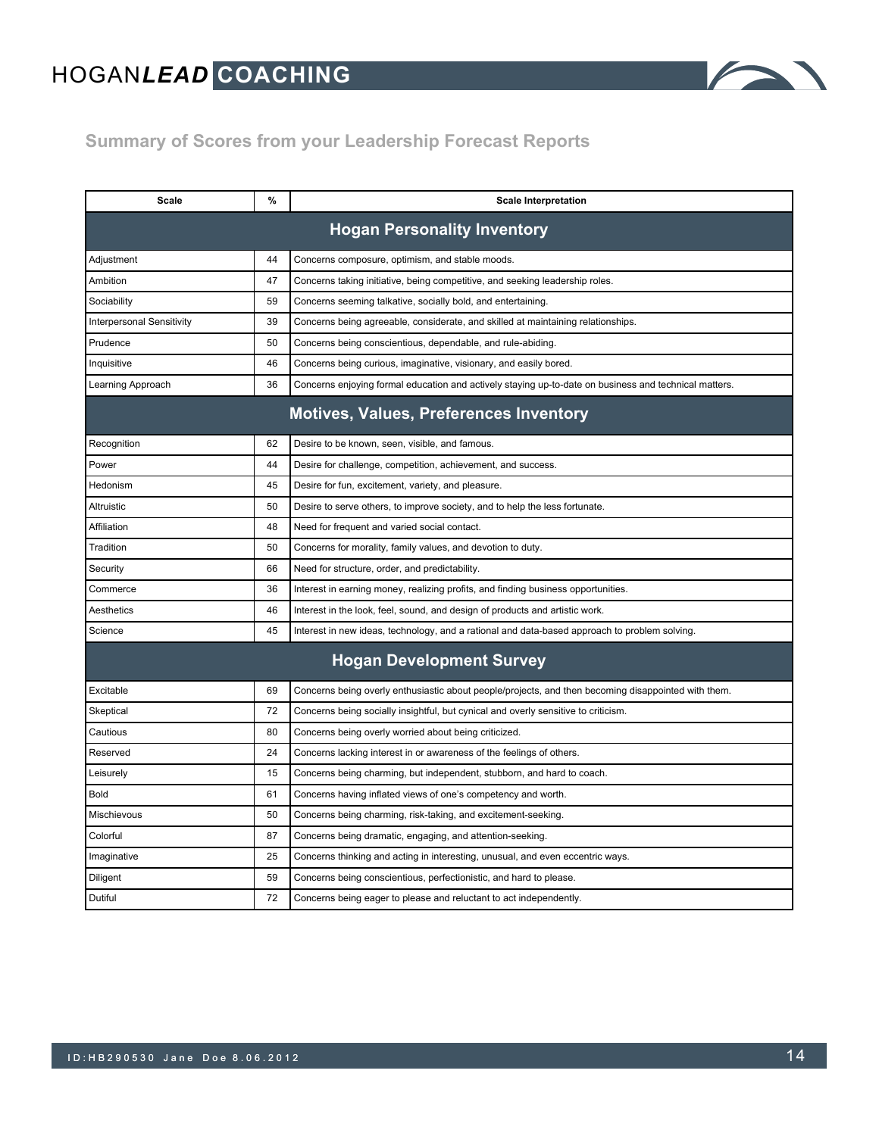

# **Summary of Scores from your Leadership Forecast Reports**

| Scale<br>%                                    |                                                                                    | <b>Scale Interpretation</b>                                                                           |  |  |  |  |
|-----------------------------------------------|------------------------------------------------------------------------------------|-------------------------------------------------------------------------------------------------------|--|--|--|--|
| <b>Hogan Personality Inventory</b>            |                                                                                    |                                                                                                       |  |  |  |  |
| Adjustment                                    | 44                                                                                 | Concerns composure, optimism, and stable moods.                                                       |  |  |  |  |
| Ambition                                      | 47                                                                                 | Concerns taking initiative, being competitive, and seeking leadership roles.                          |  |  |  |  |
| Sociability                                   | 59                                                                                 | Concerns seeming talkative, socially bold, and entertaining.                                          |  |  |  |  |
| <b>Interpersonal Sensitivity</b>              | 39                                                                                 | Concerns being agreeable, considerate, and skilled at maintaining relationships.                      |  |  |  |  |
| Prudence                                      | 50                                                                                 | Concerns being conscientious, dependable, and rule-abiding.                                           |  |  |  |  |
| Inquisitive                                   | 46                                                                                 | Concerns being curious, imaginative, visionary, and easily bored.                                     |  |  |  |  |
| Learning Approach                             | 36                                                                                 | Concerns enjoying formal education and actively staying up-to-date on business and technical matters. |  |  |  |  |
| <b>Motives, Values, Preferences Inventory</b> |                                                                                    |                                                                                                       |  |  |  |  |
| Recognition                                   | 62                                                                                 | Desire to be known, seen, visible, and famous.                                                        |  |  |  |  |
| Power                                         | 44                                                                                 | Desire for challenge, competition, achievement, and success.                                          |  |  |  |  |
| Hedonism                                      | 45                                                                                 | Desire for fun, excitement, variety, and pleasure.                                                    |  |  |  |  |
| Altruistic                                    | 50                                                                                 | Desire to serve others, to improve society, and to help the less fortunate.                           |  |  |  |  |
| Affiliation                                   | 48                                                                                 | Need for frequent and varied social contact.                                                          |  |  |  |  |
| Tradition                                     | 50                                                                                 | Concerns for morality, family values, and devotion to duty.                                           |  |  |  |  |
| Security                                      | 66                                                                                 | Need for structure, order, and predictability.                                                        |  |  |  |  |
| Commerce                                      | 36                                                                                 | Interest in earning money, realizing profits, and finding business opportunities.                     |  |  |  |  |
| Aesthetics                                    | 46<br>Interest in the look, feel, sound, and design of products and artistic work. |                                                                                                       |  |  |  |  |
| Science<br>45                                 |                                                                                    | Interest in new ideas, technology, and a rational and data-based approach to problem solving.         |  |  |  |  |
| <b>Hogan Development Survey</b>               |                                                                                    |                                                                                                       |  |  |  |  |
| Excitable                                     | 69                                                                                 | Concerns being overly enthusiastic about people/projects, and then becoming disappointed with them.   |  |  |  |  |
| Skeptical                                     | 72                                                                                 | Concerns being socially insightful, but cynical and overly sensitive to criticism.                    |  |  |  |  |
| 80<br>Cautious                                |                                                                                    | Concerns being overly worried about being criticized.                                                 |  |  |  |  |
| Reserved                                      | 24                                                                                 | Concerns lacking interest in or awareness of the feelings of others.                                  |  |  |  |  |
| Leisurely                                     | 15                                                                                 | Concerns being charming, but independent, stubborn, and hard to coach.                                |  |  |  |  |
| Bold                                          | 61                                                                                 | Concerns having inflated views of one's competency and worth.                                         |  |  |  |  |
| Mischievous                                   | 50                                                                                 | Concerns being charming, risk-taking, and excitement-seeking.                                         |  |  |  |  |
| Colorful                                      | 87                                                                                 | Concerns being dramatic, engaging, and attention-seeking.                                             |  |  |  |  |
| Imaginative                                   | 25                                                                                 | Concerns thinking and acting in interesting, unusual, and even eccentric ways.                        |  |  |  |  |
| Diligent                                      | 59<br>Concerns being conscientious, perfectionistic, and hard to please.           |                                                                                                       |  |  |  |  |
| Dutiful                                       | 72                                                                                 | Concerns being eager to please and reluctant to act independently.                                    |  |  |  |  |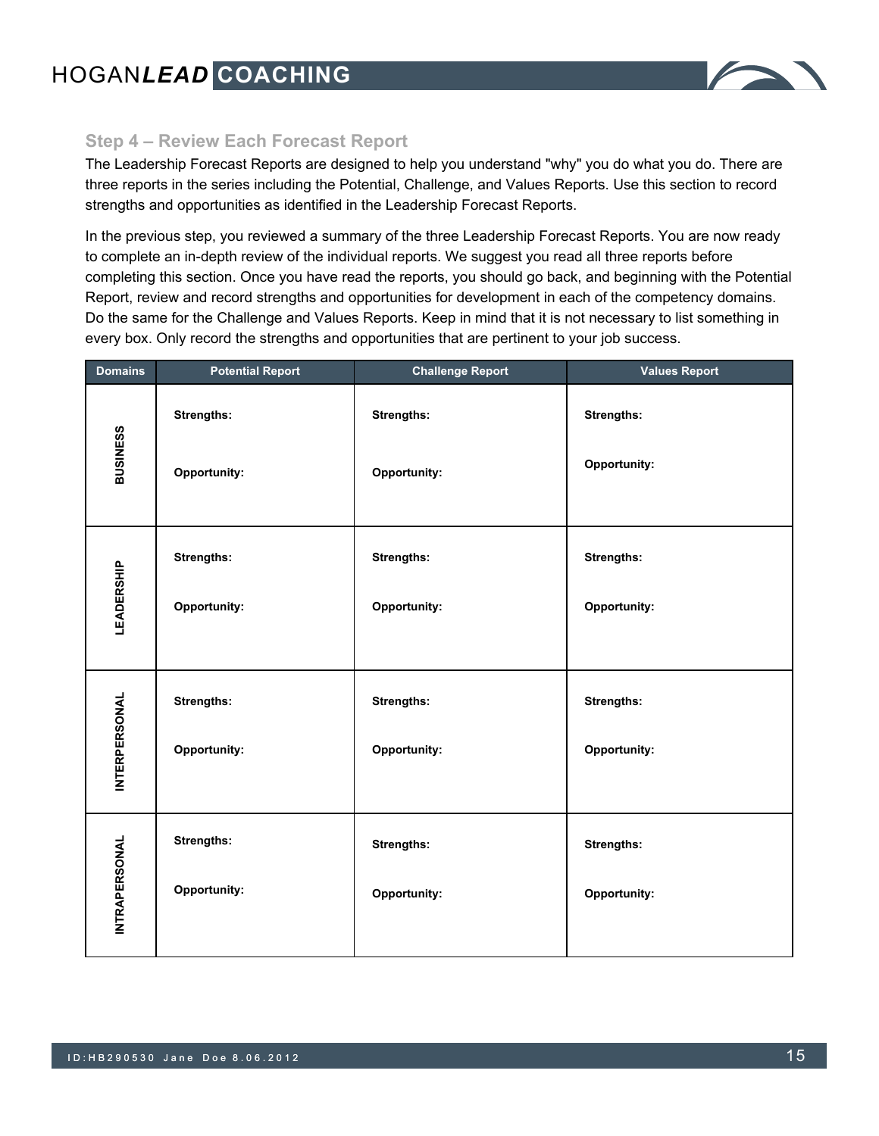

# **Step 4 – Review Each Forecast Report**

The Leadership Forecast Reports are designed to help you understand "why" you do what you do. There are three reports in the series including the Potential, Challenge, and Values Reports. Use this section to record strengths and opportunities as identified in the Leadership Forecast Reports.

In the previous step, you reviewed a summary of the three Leadership Forecast Reports. You are now ready to complete an in-depth review of the individual reports. We suggest you read all three reports before completing this section. Once you have read the reports, you should go back, and beginning with the Potential Report, review and record strengths and opportunities for development in each of the competency domains. Do the same for the Challenge and Values Reports. Keep in mind that it is not necessary to list something in every box. Only record the strengths and opportunities that are pertinent to your job success.

| <b>Domains</b>       | <b>Potential Report</b> | <b>Challenge Report</b> | <b>Values Report</b> |  |
|----------------------|-------------------------|-------------------------|----------------------|--|
|                      | <b>Strengths:</b>       | Strengths:              | <b>Strengths:</b>    |  |
| <b>BUSINESS</b>      | Opportunity:            | Opportunity:            | Opportunity:         |  |
|                      | <b>Strengths:</b>       | Strengths:              | <b>Strengths:</b>    |  |
| <b>LEADERSHIP</b>    | Opportunity:            | Opportunity:            | Opportunity:         |  |
|                      | Strengths:              | Strengths:              | Strengths:           |  |
| <b>INTERPERSONAL</b> | Opportunity:            | Opportunity:            | Opportunity:         |  |
| <b>INTRAPERSONAL</b> | <b>Strengths:</b>       | <b>Strengths:</b>       | <b>Strengths:</b>    |  |
|                      | Opportunity:            | Opportunity:            | Opportunity:         |  |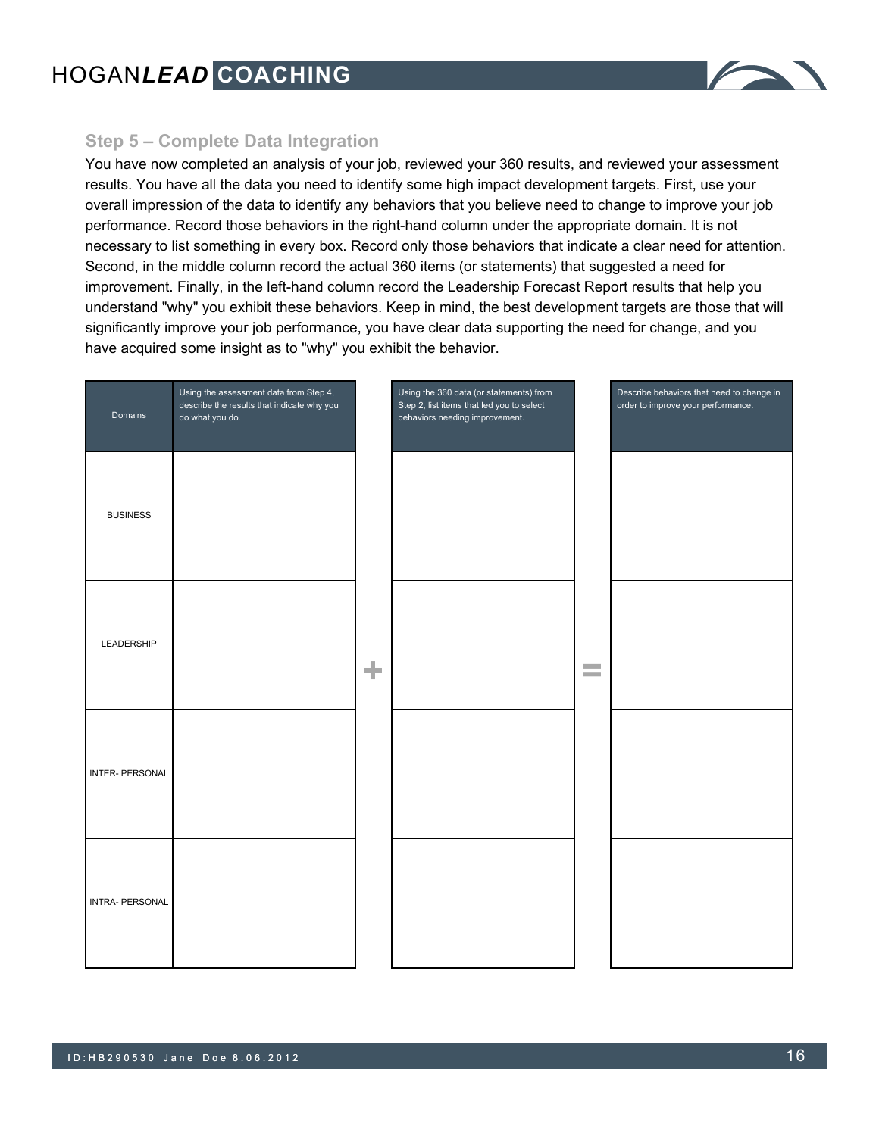

### **Step 5 – Complete Data Integration**

You have now completed an analysis of your job, reviewed your 360 results, and reviewed your assessment results. You have all the data you need to identify some high impact development targets. First, use your overall impression of the data to identify any behaviors that you believe need to change to improve your job performance. Record those behaviors in the right-hand column under the appropriate domain. It is not necessary to list something in every box. Record only those behaviors that indicate a clear need for attention. Second, in the middle column record the actual 360 items (or statements) that suggested a need for improvement. Finally, in the left-hand column record the Leadership Forecast Report results that help you understand "why" you exhibit these behaviors. Keep in mind, the best development targets are those that will significantly improve your job performance, you have clear data supporting the need for change, and you have acquired some insight as to "why" you exhibit the behavior.

| Domains                | Using the assessment data from Step 4,<br>describe the results that indicate why you<br>do what you do. |   | Using the 360 data (or statements) from<br>Step 2, list items that led you to select<br>behaviors needing improvement. |                                    | Describe behaviors that need to change in<br>order to improve your performance. |
|------------------------|---------------------------------------------------------------------------------------------------------|---|------------------------------------------------------------------------------------------------------------------------|------------------------------------|---------------------------------------------------------------------------------|
| <b>BUSINESS</b>        |                                                                                                         |   |                                                                                                                        |                                    |                                                                                 |
| LEADERSHIP             |                                                                                                         | ÷ |                                                                                                                        | <b>Contract</b><br><b>Contract</b> |                                                                                 |
| <b>INTER- PERSONAL</b> |                                                                                                         |   |                                                                                                                        |                                    |                                                                                 |
| INTRA- PERSONAL        |                                                                                                         |   |                                                                                                                        |                                    |                                                                                 |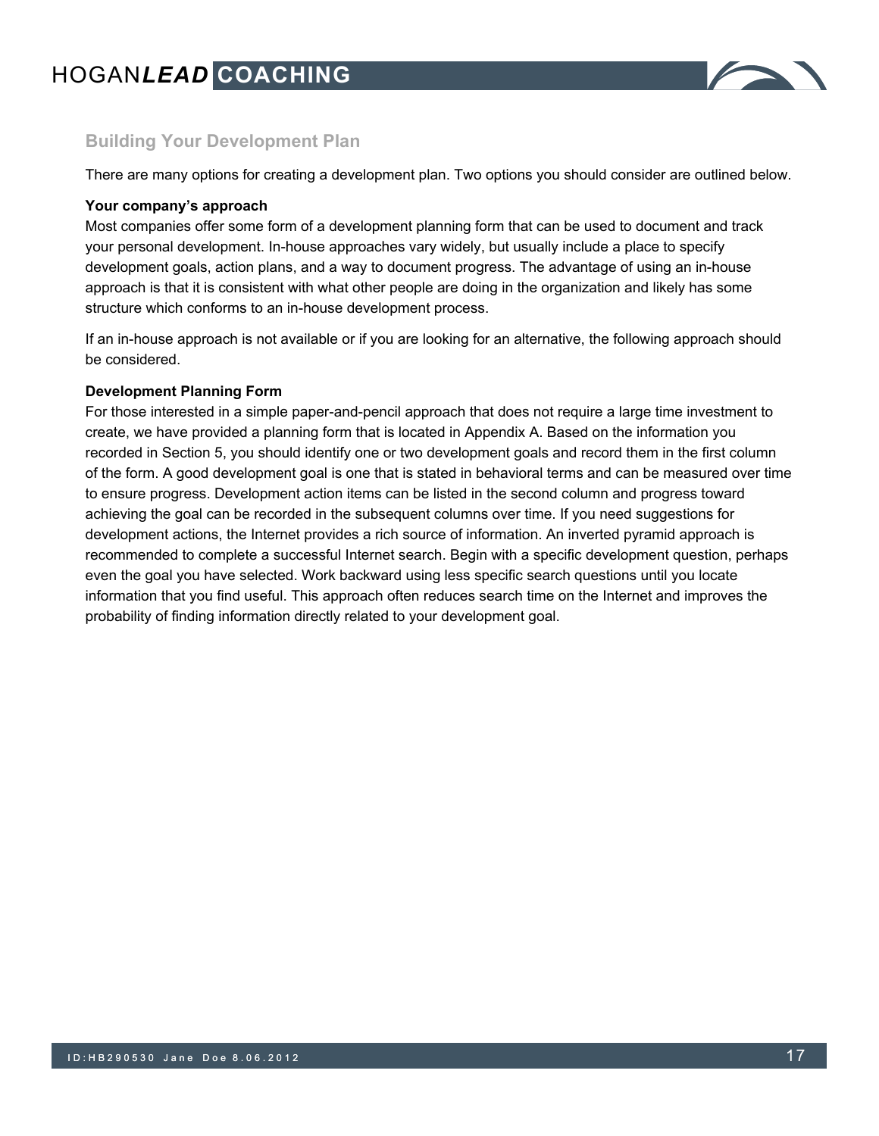

# **Building Your Development Plan**

There are many options for creating a development plan. Two options you should consider are outlined below.

#### **Your company's approach**

Most companies offer some form of a development planning form that can be used to document and track your personal development. In-house approaches vary widely, but usually include a place to specify development goals, action plans, and a way to document progress. The advantage of using an in-house approach is that it is consistent with what other people are doing in the organization and likely has some structure which conforms to an in-house development process.

If an in-house approach is not available or if you are looking for an alternative, the following approach should be considered.

#### **Development Planning Form**

For those interested in a simple paper-and-pencil approach that does not require a large time investment to create, we have provided a planning form that is located in Appendix A. Based on the information you recorded in Section 5, you should identify one or two development goals and record them in the first column of the form. A good development goal is one that is stated in behavioral terms and can be measured over time to ensure progress. Development action items can be listed in the second column and progress toward achieving the goal can be recorded in the subsequent columns over time. If you need suggestions for development actions, the Internet provides a rich source of information. An inverted pyramid approach is recommended to complete a successful Internet search. Begin with a specific development question, perhaps even the goal you have selected. Work backward using less specific search questions until you locate information that you find useful. This approach often reduces search time on the Internet and improves the probability of finding information directly related to your development goal.